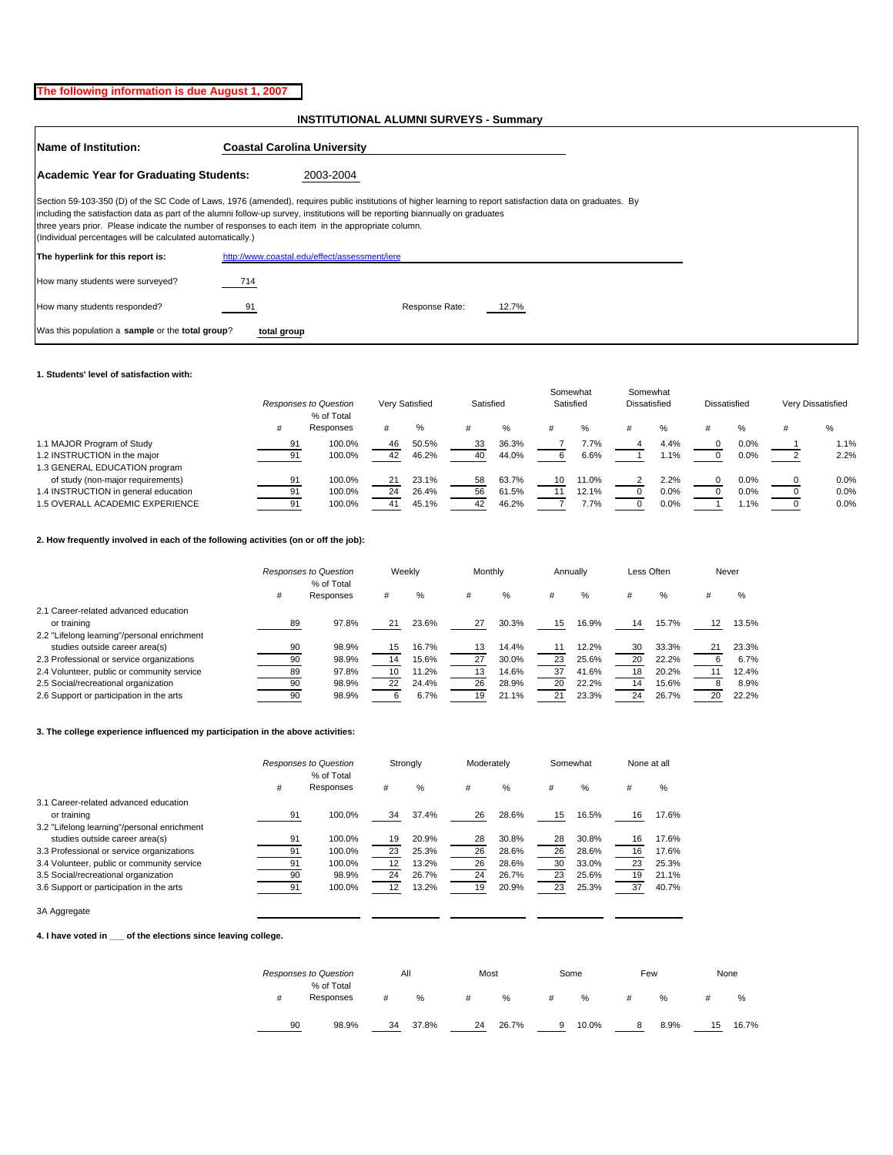## **The following information is due August 1, 2007**

## **INSTITUTIONAL ALUMNI SURVEYS - Summary**

| <b>Name of Institution:</b>                                                                                                                                                                                                                                                                                                                                                                                                                                       | <b>Coastal Carolina University</b>            |  |  |  |  |  |  |
|-------------------------------------------------------------------------------------------------------------------------------------------------------------------------------------------------------------------------------------------------------------------------------------------------------------------------------------------------------------------------------------------------------------------------------------------------------------------|-----------------------------------------------|--|--|--|--|--|--|
| Academic Year for Graduating Students:<br>2003-2004                                                                                                                                                                                                                                                                                                                                                                                                               |                                               |  |  |  |  |  |  |
| Section 59-103-350 (D) of the SC Code of Laws, 1976 (amended), requires public institutions of higher learning to report satisfaction data on graduates. By<br>including the satisfaction data as part of the alumni follow-up survey, institutions will be reporting biannually on graduates<br>three years prior. Please indicate the number of responses to each item in the appropriate column.<br>(Individual percentages will be calculated automatically.) |                                               |  |  |  |  |  |  |
| The hyperlink for this report is:                                                                                                                                                                                                                                                                                                                                                                                                                                 | http://www.coastal.edu/effect/assessment/iere |  |  |  |  |  |  |
| How many students were surveyed?                                                                                                                                                                                                                                                                                                                                                                                                                                  | 714                                           |  |  |  |  |  |  |
| How many students responded?                                                                                                                                                                                                                                                                                                                                                                                                                                      | Response Rate:<br>12.7%<br>91                 |  |  |  |  |  |  |
| Was this population a sample or the total group?                                                                                                                                                                                                                                                                                                                                                                                                                  | total group                                   |  |  |  |  |  |  |

#### **1. Students' level of satisfaction with:**

|                                      |    | Responses to Question<br>% of Total |    | Satisfied<br>Verv Satisfied |    |       | Somewhat<br>Satisfied |       | Somewhat<br><b>Dissatisfied</b> |         | Dissatisfied |         | Very Dissatisfied |  |
|--------------------------------------|----|-------------------------------------|----|-----------------------------|----|-------|-----------------------|-------|---------------------------------|---------|--------------|---------|-------------------|--|
|                                      |    | Responses                           |    | %                           |    | %     |                       |       |                                 | %       |              | %       | %                 |  |
| 1.1 MAJOR Program of Study           | 91 | 100.0%                              | 46 | 50.5%                       | 33 | 36.3% |                       | 7.7%  |                                 | 4.4%    |              | 0.0%    | 1.1%              |  |
| 1.2 INSTRUCTION in the major         | 91 | 100.0%                              | 42 | 46.2%                       | 40 | 44.0% |                       | 6.6%  |                                 | $1.1\%$ |              | 0.0%    | 2.2%              |  |
| 1.3 GENERAL EDUCATION program        |    |                                     |    |                             |    |       |                       |       |                                 |         |              |         |                   |  |
| of study (non-major requirements)    | 91 | 100.0%                              | 21 | 23.1%                       | 58 | 63.7% | 10                    | 11.0% |                                 | 2.2%    |              | $0.0\%$ | 0.0%              |  |
| 1.4 INSTRUCTION in general education | 91 | 100.0%                              | 24 | 26.4%                       | 56 | 61.5% |                       | 12.1% |                                 | $0.0\%$ |              | 0.0%    | 0.0%              |  |
| 1.5 OVERALL ACADEMIC EXPERIENCE      | 91 | 100.0%                              |    | 45.1%                       | 42 | 46.2% |                       | 7.7%  |                                 | $0.0\%$ |              | 1.1%    | 0.0%              |  |
|                                      |    |                                     |    |                             |    |       |                       |       |                                 |         |              |         |                   |  |

## **2. How frequently involved in each of the following activities (on or off the job):**

|                                             |    | Responses to Question<br>% of Total |    | Weekly | Monthly |       |    | Annually |    | Less Often |    | Never |
|---------------------------------------------|----|-------------------------------------|----|--------|---------|-------|----|----------|----|------------|----|-------|
|                                             | #  | Responses                           | #  | %      |         | %     | #  | $\%$     | #  | %          |    | %     |
| 2.1 Career-related advanced education       |    |                                     |    |        |         |       |    |          |    |            |    |       |
| or training                                 | 89 | 97.8%                               | 21 | 23.6%  | 27      | 30.3% | 15 | 16.9%    | 14 | 15.7%      |    | 13.5% |
| 2.2 "Lifelong learning"/personal enrichment |    |                                     |    |        |         |       |    |          |    |            |    |       |
| studies outside career area(s)              | 90 | 98.9%                               | 15 | 16.7%  | 13      | 14.4% | 11 | 12.2%    | 30 | 33.3%      |    | 23.3% |
| 2.3 Professional or service organizations   | 90 | 98.9%                               | 14 | 15.6%  | 27      | 30.0% | 23 | 25.6%    | 20 | 22.2%      |    | 6.7%  |
| 2.4 Volunteer, public or community service  | 89 | 97.8%                               |    | 11.2%  | 13      | 14.6% | 37 | 41.6%    | 18 | 20.2%      |    | 12.4% |
| 2.5 Social/recreational organization        | 90 | 98.9%                               | 22 | 24.4%  | 26      | 28.9% | 20 | 22.2%    | 14 | 15.6%      |    | 8.9%  |
| 2.6 Support or participation in the arts    | 90 | 98.9%                               |    | 6.7%   | 19      | 21.1% | 21 | 23.3%    | 24 | 26.7%      | 20 | 22.2% |

#### **3. The college experience influenced my participation in the above activities:**

|                                             |    | Responses to Question<br>% of Total | Strongly |       | Moderately |       | Somewhat |       | None at all |       |
|---------------------------------------------|----|-------------------------------------|----------|-------|------------|-------|----------|-------|-------------|-------|
|                                             | #  | Responses                           |          | $\%$  | #          | %     | #        | $\%$  | #           | %     |
| 3.1 Career-related advanced education       |    |                                     |          |       |            |       |          |       |             |       |
| or training                                 | 91 | 100.0%                              | 34       | 37.4% | 26         | 28.6% | 15       | 16.5% | 16          | 17.6% |
| 3.2 "Lifelong learning"/personal enrichment |    |                                     |          |       |            |       |          |       |             |       |
| studies outside career area(s)              | 91 | 100.0%                              | 19       | 20.9% | 28         | 30.8% | 28       | 30.8% | 16          | 17.6% |
| 3.3 Professional or service organizations   | 91 | 100.0%                              | 23       | 25.3% | 26         | 28.6% | 26       | 28.6% | 16          | 17.6% |
| 3.4 Volunteer, public or community service  | 91 | 100.0%                              | 12       | 13.2% | 26         | 28.6% | 30       | 33.0% | 23          | 25.3% |
| 3.5 Social/recreational organization        | 90 | 98.9%                               | 24       | 26.7% | 24         | 26.7% | 23       | 25.6% | 19          | 21.1% |
| 3.6 Support or participation in the arts    | 91 | 100.0%                              | 12       | 13.2% | 19         | 20.9% | 23       | 25.3% | 37          | 40.7% |

3A Aggregate

#### **4. I have voted in \_\_\_ of the elections since leaving college.**

|    | <b>Responses to Question</b> |    | All   | Most |       |   | Some  | Few |      | None |       |  |
|----|------------------------------|----|-------|------|-------|---|-------|-----|------|------|-------|--|
| #  | % of Total<br>Responses      | #  | %     | #    | $\%$  | # | $\%$  |     | %    |      | %     |  |
| 90 | 98.9%                        | 34 | 37.8% | 24   | 26.7% | 9 | 10.0% | 8   | 8.9% | 15   | 16.7% |  |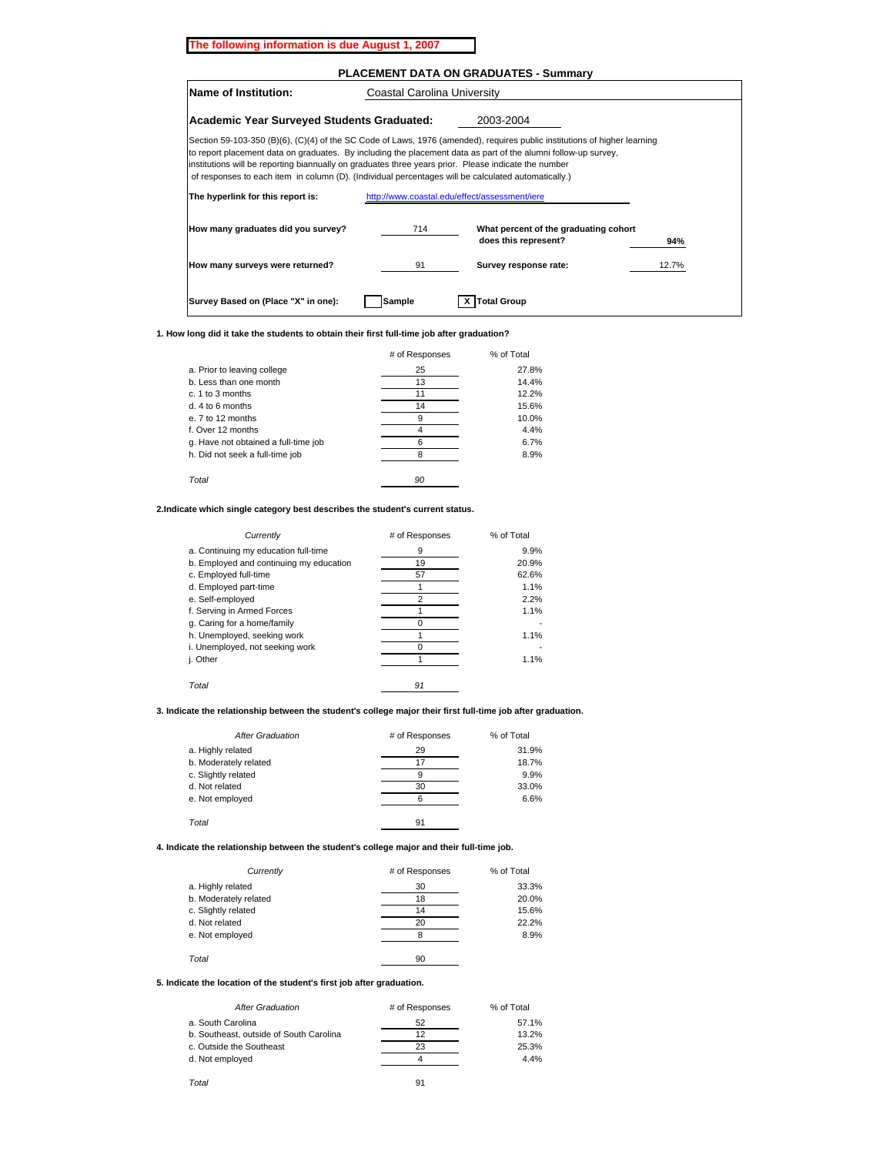#### **The following information is due August 1, 2007**

### **PLACEMENT DATA ON GRADUATES - Summary**

| 2003-2004<br>Section 59-103-350 (B)(6), (C)(4) of the SC Code of Laws, 1976 (amended), requires public institutions of higher learning<br>to report placement data on graduates. By including the placement data as part of the alumni follow-up survey,<br>institutions will be reporting biannually on graduates three years prior. Please indicate the number<br>of responses to each item in column (D). (Individual percentages will be calculated automatically.)<br>http://www.coastal.edu/effect/assessment/iere |
|--------------------------------------------------------------------------------------------------------------------------------------------------------------------------------------------------------------------------------------------------------------------------------------------------------------------------------------------------------------------------------------------------------------------------------------------------------------------------------------------------------------------------|
|                                                                                                                                                                                                                                                                                                                                                                                                                                                                                                                          |
|                                                                                                                                                                                                                                                                                                                                                                                                                                                                                                                          |
|                                                                                                                                                                                                                                                                                                                                                                                                                                                                                                                          |
| What percent of the graduating cohort<br>does this represent?<br>94%                                                                                                                                                                                                                                                                                                                                                                                                                                                     |
| Survey response rate:<br>12.7%                                                                                                                                                                                                                                                                                                                                                                                                                                                                                           |
|                                                                                                                                                                                                                                                                                                                                                                                                                                                                                                                          |

**1. How long did it take the students to obtain their first full-time job after graduation?**

|                                      | # of Responses | % of Total |  |
|--------------------------------------|----------------|------------|--|
| a. Prior to leaving college          | 25             | 27.8%      |  |
| b. Less than one month               | 13             | 14.4%      |  |
| $c. 1$ to 3 months                   | 11             | 12.2%      |  |
| $d.4$ to 6 months                    | 14             | 15.6%      |  |
| e. 7 to 12 months                    | 9              | 10.0%      |  |
| f. Over 12 months                    |                | 4.4%       |  |
| g. Have not obtained a full-time job | 6              | 6.7%       |  |
| h. Did not seek a full-time job      | я              | 8.9%       |  |
| Total                                | 90             |            |  |

#### **2.Indicate which single category best describes the student's current status.**

| Currently                               | # of Responses | % of Total |  |
|-----------------------------------------|----------------|------------|--|
| a. Continuing my education full-time    | 9              | 9.9%       |  |
| b. Employed and continuing my education | 19             | 20.9%      |  |
| c. Employed full-time                   | 57             | 62.6%      |  |
| d. Employed part-time                   |                | 1.1%       |  |
| e. Self-employed                        | 2              | 2.2%       |  |
| f. Serving in Armed Forces              |                | 1.1%       |  |
| g. Caring for a home/family             |                |            |  |
| h. Unemployed, seeking work             |                | 1.1%       |  |
| i. Unemployed, not seeking work         |                |            |  |
| j. Other                                |                | 1.1%       |  |
|                                         |                |            |  |
| Total                                   | 91             |            |  |

### **3. Indicate the relationship between the student's college major their first full-time job after graduation.**

| <b>After Graduation</b> | # of Responses | % of Total |  |
|-------------------------|----------------|------------|--|
| a. Highly related       | 29             | 31.9%      |  |
| b. Moderately related   | 17             | 18.7%      |  |
| c. Slightly related     | 9              | 9.9%       |  |
| d. Not related          | 30             | 33.0%      |  |
| e. Not employed         | 6              | 6.6%       |  |
|                         |                |            |  |
| Total                   | 91             |            |  |

#### **4. Indicate the relationship between the student's college major and their full-time job.**

| Currently             | # of Responses | % of Total |
|-----------------------|----------------|------------|
| a. Highly related     | 30             | 33.3%      |
| b. Moderately related | 18             | 20.0%      |
| c. Slightly related   | 14             | 15.6%      |
| d. Not related        | 20             | 22.2%      |
| e. Not employed       |                | 8.9%       |
|                       |                |            |
| Total                 | 90             |            |

### **5. Indicate the location of the student's first job after graduation.**

| <b>After Graduation</b>                 | # of Responses | % of Total |  |
|-----------------------------------------|----------------|------------|--|
| a. South Carolina                       | 52             | 57.1%      |  |
| b. Southeast, outside of South Carolina | 12             | 13.2%      |  |
| c. Outside the Southeast                | 23             | 25.3%      |  |
| d. Not employed                         |                | 4.4%       |  |
|                                         |                |            |  |
| Total                                   | 91             |            |  |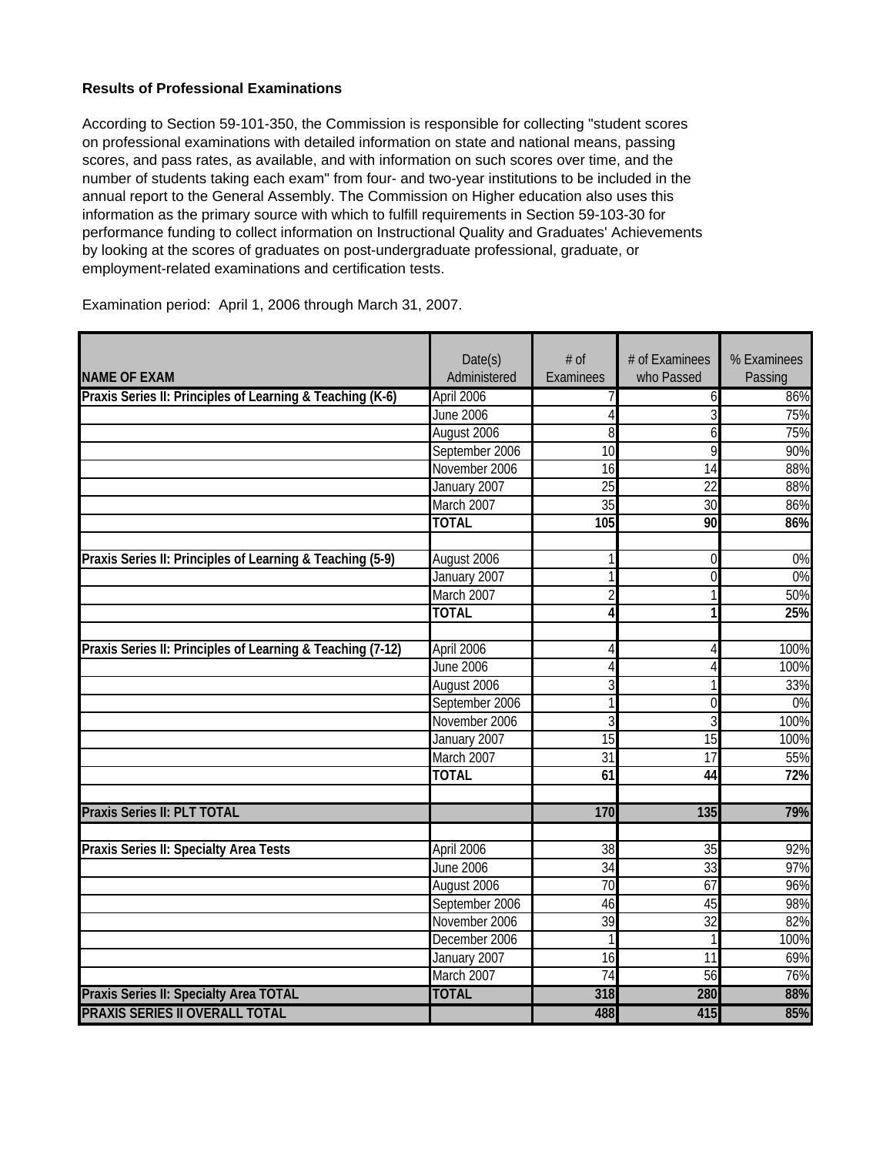# **Results of Professional Examinations**

According to Section 59-101-350, the Commission is responsible for collecting "student scores on professional examinations with detailed information on state and national means, passing scores, and pass rates, as available, and with information on such scores over time, and the number of students taking each exam" from four- and two-year institutions to be included in the annual report to the General Assembly. The Commission on Higher education also uses this information as the primary source with which to fulfill requirements in Section 59-103-30 for performance funding to collect information on Instructional Quality and Graduates' Achievements by looking at the scores of graduates on post-undergraduate professional, graduate, or employment-related examinations and certification tests.

|                                                            | Date(s)          | # of            | # of Examinees  | % Examinees |
|------------------------------------------------------------|------------------|-----------------|-----------------|-------------|
| <b>NAME OF EXAM</b>                                        | Administered     | Examinees       | who Passed      | Passing     |
| Praxis Series II: Principles of Learning & Teaching (K-6)  | April 2006       |                 | 6               | 86%         |
|                                                            | <b>June 2006</b> | $\overline{4}$  | 3               | 75%         |
|                                                            | August 2006      | 8               | 6               | 75%         |
|                                                            | September 2006   | 10              | 9               | 90%         |
|                                                            | November 2006    | 16              | 14              | 88%         |
|                                                            | January 2007     | $\overline{25}$ | $\overline{22}$ | 88%         |
|                                                            | March 2007       | 35              | $\overline{30}$ | 86%         |
|                                                            | <b>TOTAL</b>     | 105             | 90              | 86%         |
| Praxis Series II: Principles of Learning & Teaching (5-9)  | August 2006      | 1               | 0               | $0\%$       |
|                                                            | January 2007     | 1               | $\Omega$        | $0\%$       |
|                                                            | March 2007       | $\overline{2}$  |                 | 50%         |
|                                                            | <b>TOTAL</b>     | $\overline{4}$  | 1               | 25%         |
|                                                            |                  |                 |                 |             |
| Praxis Series II: Principles of Learning & Teaching (7-12) | April 2006       | 4               | 4               | 100%        |
|                                                            | <b>June 2006</b> | 4               | $\overline{4}$  | 100%        |
|                                                            | August 2006      | 3               |                 | 33%         |
|                                                            | September 2006   | 1               | $\overline{0}$  | $0\%$       |
|                                                            | November 2006    | $\overline{3}$  | 3               | 100%        |
|                                                            | January 2007     | $\overline{15}$ | $\overline{15}$ | 100%        |
|                                                            | March 2007       | $\overline{31}$ | 17              | 55%         |
|                                                            | <b>TOTAL</b>     | 61              | $\overline{44}$ | 72%         |
| Praxis Series II: PLT TOTAL                                |                  | 170             | 135             | 79%         |
|                                                            |                  |                 |                 |             |
| Praxis Series II: Specialty Area Tests                     | April 2006       | $\overline{38}$ | 35              | 92%         |
|                                                            | <b>June 2006</b> | $\overline{34}$ | $\overline{33}$ | 97%         |
|                                                            | August 2006      | 70              | 67              | 96%         |
|                                                            | September 2006   | 46              | 45              | 98%         |
|                                                            | November 2006    | 39              | 32              | 82%         |
|                                                            | December 2006    | 1               | $\mathbf{1}$    | 100%        |
|                                                            | January 2007     | 16              | $\overline{11}$ | 69%         |
|                                                            | March 2007       | 74              | 56              | 76%         |
| Praxis Series II: Specialty Area TOTAL                     | <b>TOTAL</b>     | 318             | 280             | 88%         |
| <b>PRAXIS SERIES II OVERALL TOTAL</b>                      |                  | 488             | 415             | 85%         |

Examination period: April 1, 2006 through March 31, 2007.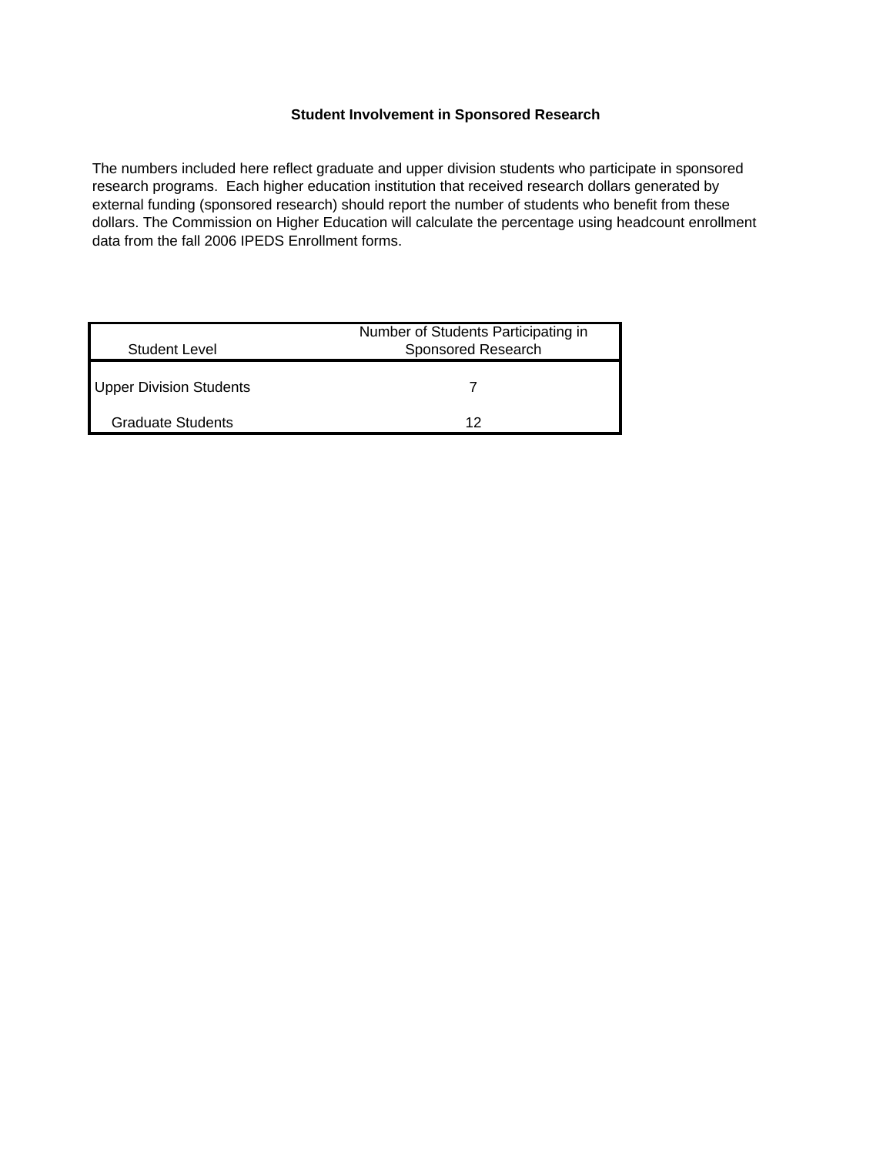## **Student Involvement in Sponsored Research**

The numbers included here reflect graduate and upper division students who participate in sponsored research programs. Each higher education institution that received research dollars generated by external funding (sponsored research) should report the number of students who benefit from these dollars. The Commission on Higher Education will calculate the percentage using headcount enrollment data from the fall 2006 IPEDS Enrollment forms.

| Student Level            | Number of Students Participating in<br>Sponsored Research |  |
|--------------------------|-----------------------------------------------------------|--|
| Upper Division Students  |                                                           |  |
| <b>Graduate Students</b> | 12                                                        |  |